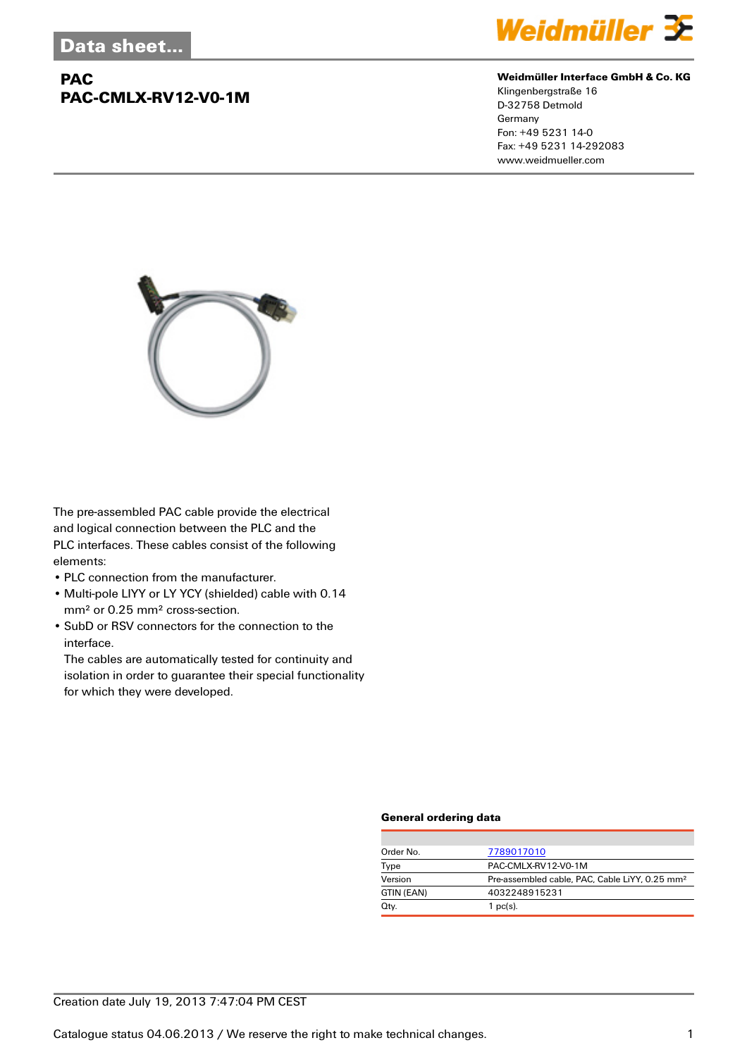# **PAC PAC-CMLX-RV12-V0-1M**



#### **Weidmüller Interface GmbH & Co. KG**

Klingenbergstraße 16 D-32758 Detmold Germany Fon: +49 5231 14-0 Fax: +49 5231 14-292083 www.weidmueller.com



The pre-assembled PAC cable provide the electrical and logical connection between the PLC and the PLC interfaces. These cables consist of the following elements:

- PLC connection from the manufacturer.
- Multi-pole LIYY or LY YCY (shielded) cable with 0.14 mm² or 0.25 mm² cross-section.
- SubD or RSV connectors for the connection to the interface.

The cables are automatically tested for continuity and isolation in order to guarantee their special functionality for which they were developed.

### **General ordering data**

| Order No.  | 7789017010                                                 |
|------------|------------------------------------------------------------|
| Type       | PAC-CMLX-RV12-V0-1M                                        |
| Version    | Pre-assembled cable, PAC, Cable LiYY, 0.25 mm <sup>2</sup> |
| GTIN (EAN) | 4032248915231                                              |
| Qty.       | $1$ pc(s).                                                 |